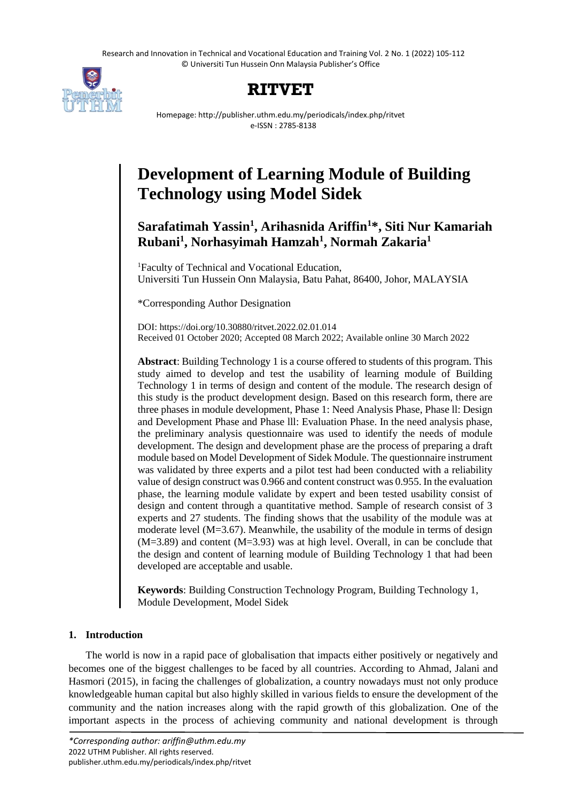Research and Innovation in Technical and Vocational Education and Training Vol. 2 No. 1 (2022) 105-112 © Universiti Tun Hussein Onn Malaysia Publisher's Office



## **RITVET**

Homepage: http://publisher.uthm.edu.my/periodicals/index.php/ritvet e-ISSN : 2785-8138

# **Development of Learning Module of Building Technology using Model Sidek**

### **Sarafatimah Yassin<sup>1</sup> , Arihasnida Ariffin<sup>1</sup>\*, Siti Nur Kamariah Rubani<sup>1</sup> , Norhasyimah Hamzah<sup>1</sup> , Normah Zakaria<sup>1</sup>**

<sup>1</sup>Faculty of Technical and Vocational Education, Universiti Tun Hussein Onn Malaysia, Batu Pahat, 86400, Johor, MALAYSIA

\*Corresponding Author Designation

DOI: https://doi.org/10.30880/ritvet.2022.02.01.014 Received 01 October 2020; Accepted 08 March 2022; Available online 30 March 2022

**Abstract**: Building Technology 1 is a course offered to students of this program. This study aimed to develop and test the usability of learning module of Building Technology 1 in terms of design and content of the module. The research design of this study is the product development design. Based on this research form, there are three phases in module development, Phase 1: Need Analysis Phase, Phase ll: Design and Development Phase and Phase lll: Evaluation Phase. In the need analysis phase, the preliminary analysis questionnaire was used to identify the needs of module development. The design and development phase are the process of preparing a draft module based on Model Development of Sidek Module. The questionnaire instrument was validated by three experts and a pilot test had been conducted with a reliability value of design construct was 0.966 and content construct was 0.955. In the evaluation phase, the learning module validate by expert and been tested usability consist of design and content through a quantitative method. Sample of research consist of 3 experts and 27 students. The finding shows that the usability of the module was at moderate level (M=3.67). Meanwhile, the usability of the module in terms of design (M=3.89) and content (M=3.93) was at high level. Overall, in can be conclude that the design and content of learning module of Building Technology 1 that had been developed are acceptable and usable.

**Keywords**: Building Construction Technology Program, Building Technology 1, Module Development, Model Sidek

#### **1. Introduction**

The world is now in a rapid pace of globalisation that impacts either positively or negatively and becomes one of the biggest challenges to be faced by all countries. According to Ahmad, Jalani and Hasmori (2015), in facing the challenges of globalization, a country nowadays must not only produce knowledgeable human capital but also highly skilled in various fields to ensure the development of the community and the nation increases along with the rapid growth of this globalization. One of the important aspects in the process of achieving community and national development is through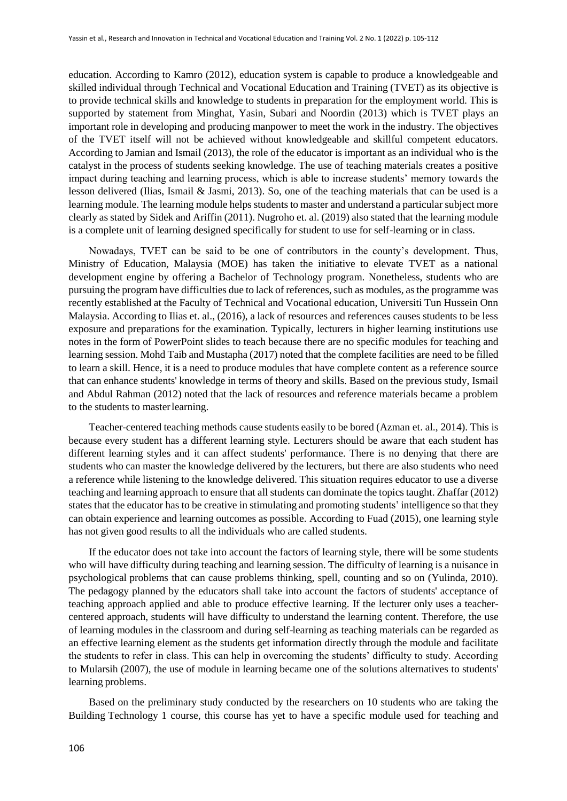education. According to Kamro (2012), education system is capable to produce a knowledgeable and skilled individual through Technical and Vocational Education and Training (TVET) as its objective is to provide technical skills and knowledge to students in preparation for the employment world. This is supported by statement from Minghat, Yasin, Subari and Noordin (2013) which is TVET plays an important role in developing and producing manpower to meet the work in the industry. The objectives of the TVET itself will not be achieved without knowledgeable and skillful competent educators. According to Jamian and Ismail (2013), the role of the educator is important as an individual who is the catalyst in the process of students seeking knowledge. The use of teaching materials creates a positive impact during teaching and learning process, which is able to increase students' memory towards the lesson delivered (Ilias, Ismail & Jasmi, 2013). So, one of the teaching materials that can be used is a learning module. The learning module helps students to master and understand a particular subject more clearly as stated by Sidek and Ariffin (2011). Nugroho et. al. (2019) also stated that the learning module is a complete unit of learning designed specifically for student to use for self-learning or in class.

Nowadays, TVET can be said to be one of contributors in the county's development. Thus, Ministry of Education, Malaysia (MOE) has taken the initiative to elevate TVET as a national development engine by offering a Bachelor of Technology program. Nonetheless, students who are pursuing the program have difficulties due to lack of references, such as modules, as the programme was recently established at the Faculty of Technical and Vocational education, Universiti Tun Hussein Onn Malaysia. According to Ilias et. al., (2016), a lack of resources and references causes students to be less exposure and preparations for the examination. Typically, lecturers in higher learning institutions use notes in the form of PowerPoint slides to teach because there are no specific modules for teaching and learning session. Mohd Taib and Mustapha (2017) noted that the complete facilities are need to be filled to learn a skill. Hence, it is a need to produce modules that have complete content as a reference source that can enhance students' knowledge in terms of theory and skills. Based on the previous study, Ismail and Abdul Rahman (2012) noted that the lack of resources and reference materials became a problem to the students to masterlearning.

Teacher-centered teaching methods cause students easily to be bored (Azman et. al., 2014). This is because every student has a different learning style. Lecturers should be aware that each student has different learning styles and it can affect students' performance. There is no denying that there are students who can master the knowledge delivered by the lecturers, but there are also students who need a reference while listening to the knowledge delivered. This situation requires educator to use a diverse teaching and learning approach to ensure that all students can dominate the topics taught. Zhaffar (2012) states that the educator has to be creative in stimulating and promoting students' intelligence so that they can obtain experience and learning outcomes as possible. According to Fuad (2015), one learning style has not given good results to all the individuals who are called students.

If the educator does not take into account the factors of learning style, there will be some students who will have difficulty during teaching and learning session. The difficulty of learning is a nuisance in psychological problems that can cause problems thinking, spell, counting and so on (Yulinda, 2010). The pedagogy planned by the educators shall take into account the factors of students' acceptance of teaching approach applied and able to produce effective learning. If the lecturer only uses a teachercentered approach, students will have difficulty to understand the learning content. Therefore, the use of learning modules in the classroom and during self-learning as teaching materials can be regarded as an effective learning element as the students get information directly through the module and facilitate the students to refer in class. This can help in overcoming the students' difficulty to study. According to Mularsih (2007), the use of module in learning became one of the solutions alternatives to students' learning problems.

Based on the preliminary study conducted by the researchers on 10 students who are taking the Building Technology 1 course, this course has yet to have a specific module used for teaching and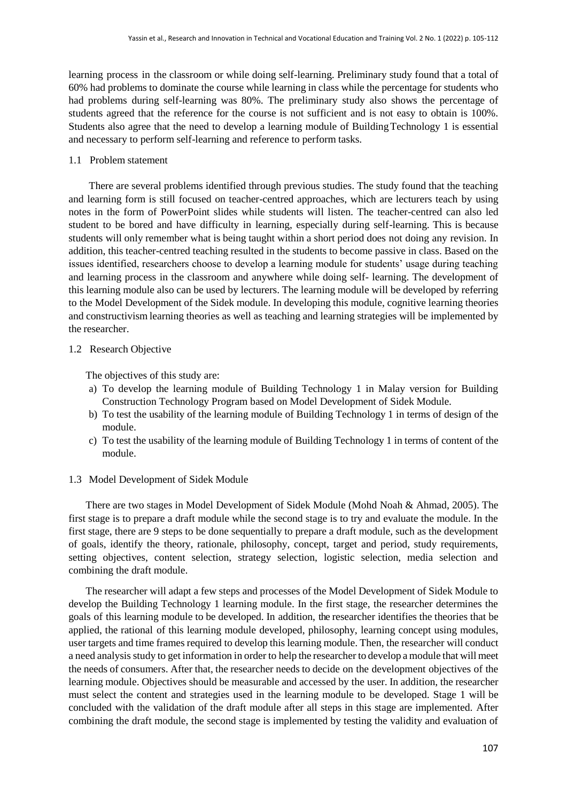learning process in the classroom or while doing self-learning. Preliminary study found that a total of 60% had problems to dominate the course while learning in class while the percentage for students who had problems during self-learning was 80%. The preliminary study also shows the percentage of students agreed that the reference for the course is not sufficient and is not easy to obtain is 100%. Students also agree that the need to develop a learning module of BuildingTechnology 1 is essential and necessary to perform self-learning and reference to perform tasks.

1.1 Problem statement

There are several problems identified through previous studies. The study found that the teaching and learning form is still focused on teacher-centred approaches, which are lecturers teach by using notes in the form of PowerPoint slides while students will listen. The teacher-centred can also led student to be bored and have difficulty in learning, especially during self-learning. This is because students will only remember what is being taught within a short period does not doing any revision. In addition, this teacher-centred teaching resulted in the students to become passive in class. Based on the issues identified, researchers choose to develop a learning module for students' usage during teaching and learning process in the classroom and anywhere while doing self- learning. The development of this learning module also can be used by lecturers. The learning module will be developed by referring to the Model Development of the Sidek module. In developing this module, cognitive learning theories and constructivism learning theories as well as teaching and learning strategies will be implemented by the researcher.

#### 1.2 Research Objective

The objectives of this study are:

- a) To develop the learning module of Building Technology 1 in Malay version for Building Construction Technology Program based on Model Development of Sidek Module.
- b) To test the usability of the learning module of Building Technology 1 in terms of design of the module.
- c) To test the usability of the learning module of Building Technology 1 in terms of content of the module.

#### 1.3 Model Development of Sidek Module

There are two stages in Model Development of Sidek Module (Mohd Noah & Ahmad, 2005). The first stage is to prepare a draft module while the second stage is to try and evaluate the module. In the first stage, there are 9 steps to be done sequentially to prepare a draft module, such as the development of goals, identify the theory, rationale, philosophy, concept, target and period, study requirements, setting objectives, content selection, strategy selection, logistic selection, media selection and combining the draft module.

The researcher will adapt a few steps and processes of the Model Development of Sidek Module to develop the Building Technology 1 learning module. In the first stage, the researcher determines the goals of this learning module to be developed. In addition, the researcher identifies the theories that be applied, the rational of this learning module developed, philosophy, learning concept using modules, user targets and time frames required to develop this learning module. Then, the researcher will conduct a need analysis study to get information in order to help the researcher to develop a module that will meet the needs of consumers. After that, the researcher needs to decide on the development objectives of the learning module. Objectives should be measurable and accessed by the user. In addition, the researcher must select the content and strategies used in the learning module to be developed. Stage 1 will be concluded with the validation of the draft module after all steps in this stage are implemented. After combining the draft module, the second stage is implemented by testing the validity and evaluation of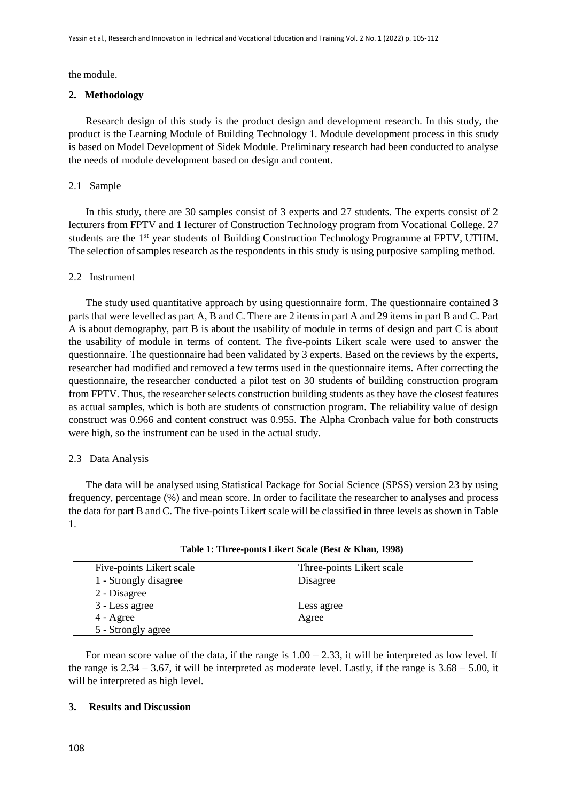the module.

#### **2. Methodology**

Research design of this study is the product design and development research. In this study, the product is the Learning Module of Building Technology 1. Module development process in this study is based on Model Development of Sidek Module. Preliminary research had been conducted to analyse the needs of module development based on design and content.

#### 2.1 Sample

In this study, there are 30 samples consist of 3 experts and 27 students. The experts consist of 2 lecturers from FPTV and 1 lecturer of Construction Technology program from Vocational College. 27 students are the 1<sup>st</sup> year students of Building Construction Technology Programme at FPTV, UTHM. The selection of samples research as the respondents in this study is using purposive sampling method.

#### 2.2 Instrument

The study used quantitative approach by using questionnaire form. The questionnaire contained 3 parts that were levelled as part A, B and C. There are 2 items in part A and 29 items in part B and C. Part A is about demography, part B is about the usability of module in terms of design and part C is about the usability of module in terms of content. The five-points Likert scale were used to answer the questionnaire. The questionnaire had been validated by 3 experts. Based on the reviews by the experts, researcher had modified and removed a few terms used in the questionnaire items. After correcting the questionnaire, the researcher conducted a pilot test on 30 students of building construction program from FPTV. Thus, the researcher selects construction building students as they have the closest features as actual samples, which is both are students of construction program. The reliability value of design construct was 0.966 and content construct was 0.955. The Alpha Cronbach value for both constructs were high, so the instrument can be used in the actual study.

#### 2.3 Data Analysis

The data will be analysed using Statistical Package for Social Science (SPSS) version 23 by using frequency, percentage (%) and mean score. In order to facilitate the researcher to analyses and process the data for part B and C. The five-points Likert scale will be classified in three levels as shown in Table 1.

| Five-points Likert scale | Three-points Likert scale |
|--------------------------|---------------------------|
| 1 - Strongly disagree    | Disagree                  |
| 2 - Disagree             |                           |
| 3 - Less agree           | Less agree                |
| $4 - \text{Agree}$       | Agree                     |
| 5 - Strongly agree       |                           |

**Table 1: Three-ponts Likert Scale (Best & Khan, 1998)**

For mean score value of the data, if the range is  $1.00 - 2.33$ , it will be interpreted as low level. If the range is  $2.34 - 3.67$ , it will be interpreted as moderate level. Lastly, if the range is  $3.68 - 5.00$ , it will be interpreted as high level.

#### **3. Results and Discussion**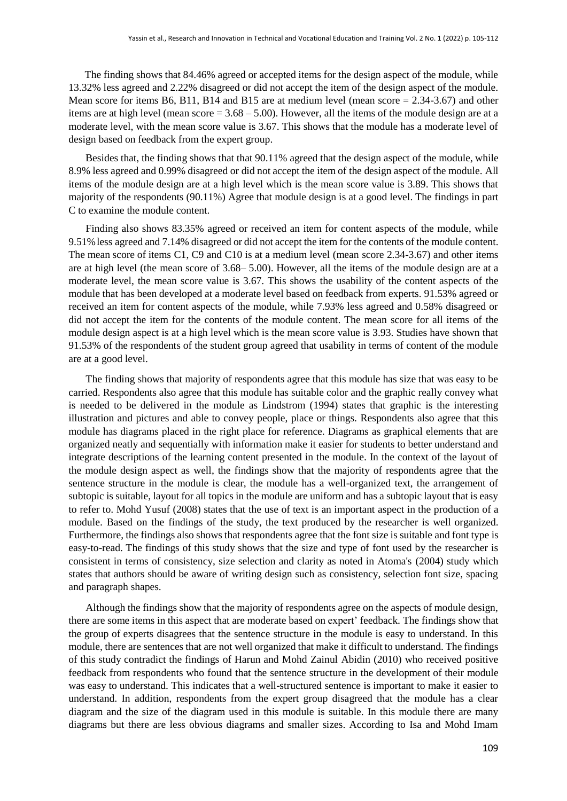The finding shows that 84.46% agreed or accepted items for the design aspect of the module, while 13.32% less agreed and 2.22% disagreed or did not accept the item of the design aspect of the module. Mean score for items B6, B11, B14 and B15 are at medium level (mean score = 2.34-3.67) and other items are at high level (mean score  $= 3.68 - 5.00$ ). However, all the items of the module design are at a moderate level, with the mean score value is 3.67. This shows that the module has a moderate level of design based on feedback from the expert group.

Besides that, the finding shows that that 90.11% agreed that the design aspect of the module, while 8.9% less agreed and 0.99% disagreed or did not accept the item of the design aspect of the module. All items of the module design are at a high level which is the mean score value is 3.89. This shows that majority of the respondents (90.11%) Agree that module design is at a good level. The findings in part C to examine the module content.

Finding also shows 83.35% agreed or received an item for content aspects of the module, while 9.51%less agreed and 7.14% disagreed or did not accept the item for the contents of the module content. The mean score of items C1, C9 and C10 is at a medium level (mean score 2.34-3.67) and other items are at high level (the mean score of 3.68– 5.00). However, all the items of the module design are at a moderate level, the mean score value is 3.67. This shows the usability of the content aspects of the module that has been developed at a moderate level based on feedback from experts. 91.53% agreed or received an item for content aspects of the module, while 7.93% less agreed and 0.58% disagreed or did not accept the item for the contents of the module content. The mean score for all items of the module design aspect is at a high level which is the mean score value is 3.93. Studies have shown that 91.53% of the respondents of the student group agreed that usability in terms of content of the module are at a good level.

The finding shows that majority of respondents agree that this module has size that was easy to be carried. Respondents also agree that this module has suitable color and the graphic really convey what is needed to be delivered in the module as Lindstrom (1994) states that graphic is the interesting illustration and pictures and able to convey people, place or things. Respondents also agree that this module has diagrams placed in the right place for reference. Diagrams as graphical elements that are organized neatly and sequentially with information make it easier for students to better understand and integrate descriptions of the learning content presented in the module. In the context of the layout of the module design aspect as well, the findings show that the majority of respondents agree that the sentence structure in the module is clear, the module has a well-organized text, the arrangement of subtopic is suitable, layout for all topics in the module are uniform and has a subtopic layout that is easy to refer to. Mohd Yusuf (2008) states that the use of text is an important aspect in the production of a module. Based on the findings of the study, the text produced by the researcher is well organized. Furthermore, the findings also shows that respondents agree that the font size is suitable and font type is easy-to-read. The findings of this study shows that the size and type of font used by the researcher is consistent in terms of consistency, size selection and clarity as noted in Atoma's (2004) study which states that authors should be aware of writing design such as consistency, selection font size, spacing and paragraph shapes.

Although the findings show that the majority of respondents agree on the aspects of module design, there are some items in this aspect that are moderate based on expert' feedback. The findings show that the group of experts disagrees that the sentence structure in the module is easy to understand. In this module, there are sentences that are not well organized that make it difficult to understand. The findings of this study contradict the findings of Harun and Mohd Zainul Abidin (2010) who received positive feedback from respondents who found that the sentence structure in the development of their module was easy to understand. This indicates that a well-structured sentence is important to make it easier to understand. In addition, respondents from the expert group disagreed that the module has a clear diagram and the size of the diagram used in this module is suitable. In this module there are many diagrams but there are less obvious diagrams and smaller sizes. According to Isa and Mohd Imam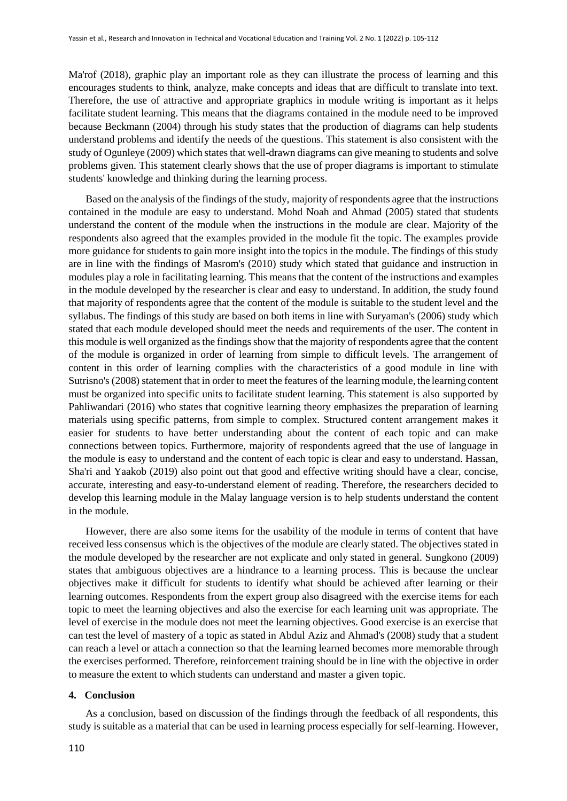Ma'rof (2018), graphic play an important role as they can illustrate the process of learning and this encourages students to think, analyze, make concepts and ideas that are difficult to translate into text. Therefore, the use of attractive and appropriate graphics in module writing is important as it helps facilitate student learning. This means that the diagrams contained in the module need to be improved because Beckmann (2004) through his study states that the production of diagrams can help students understand problems and identify the needs of the questions. This statement is also consistent with the study of Ogunleye (2009) which states that well-drawn diagrams can give meaning to students and solve problems given. This statement clearly shows that the use of proper diagrams is important to stimulate students' knowledge and thinking during the learning process.

Based on the analysis of the findings of the study, majority of respondents agree that the instructions contained in the module are easy to understand. Mohd Noah and Ahmad (2005) stated that students understand the content of the module when the instructions in the module are clear. Majority of the respondents also agreed that the examples provided in the module fit the topic. The examples provide more guidance for students to gain more insight into the topics in the module. The findings of this study are in line with the findings of Masrom's (2010) study which stated that guidance and instruction in modules play a role in facilitating learning. This means that the content of the instructions and examples in the module developed by the researcher is clear and easy to understand. In addition, the study found that majority of respondents agree that the content of the module is suitable to the student level and the syllabus. The findings of this study are based on both items in line with Suryaman's (2006) study which stated that each module developed should meet the needs and requirements of the user. The content in this module is well organized as the findings show that the majority of respondents agree that the content of the module is organized in order of learning from simple to difficult levels. The arrangement of content in this order of learning complies with the characteristics of a good module in line with Sutrisno's (2008) statement that in order to meet the features of the learning module, the learning content must be organized into specific units to facilitate student learning. This statement is also supported by Pahliwandari (2016) who states that cognitive learning theory emphasizes the preparation of learning materials using specific patterns, from simple to complex. Structured content arrangement makes it easier for students to have better understanding about the content of each topic and can make connections between topics. Furthermore, majority of respondents agreed that the use of language in the module is easy to understand and the content of each topic is clear and easy to understand. Hassan, Sha'ri and Yaakob (2019) also point out that good and effective writing should have a clear, concise, accurate, interesting and easy-to-understand element of reading. Therefore, the researchers decided to develop this learning module in the Malay language version is to help students understand the content in the module.

However, there are also some items for the usability of the module in terms of content that have received less consensus which is the objectives of the module are clearly stated. The objectives stated in the module developed by the researcher are not explicate and only stated in general. Sungkono (2009) states that ambiguous objectives are a hindrance to a learning process. This is because the unclear objectives make it difficult for students to identify what should be achieved after learning or their learning outcomes. Respondents from the expert group also disagreed with the exercise items for each topic to meet the learning objectives and also the exercise for each learning unit was appropriate. The level of exercise in the module does not meet the learning objectives. Good exercise is an exercise that can test the level of mastery of a topic as stated in Abdul Aziz and Ahmad's (2008) study that a student can reach a level or attach a connection so that the learning learned becomes more memorable through the exercises performed. Therefore, reinforcement training should be in line with the objective in order to measure the extent to which students can understand and master a given topic.

#### **4. Conclusion**

As a conclusion, based on discussion of the findings through the feedback of all respondents, this study is suitable as a material that can be used in learning process especially for self-learning. However,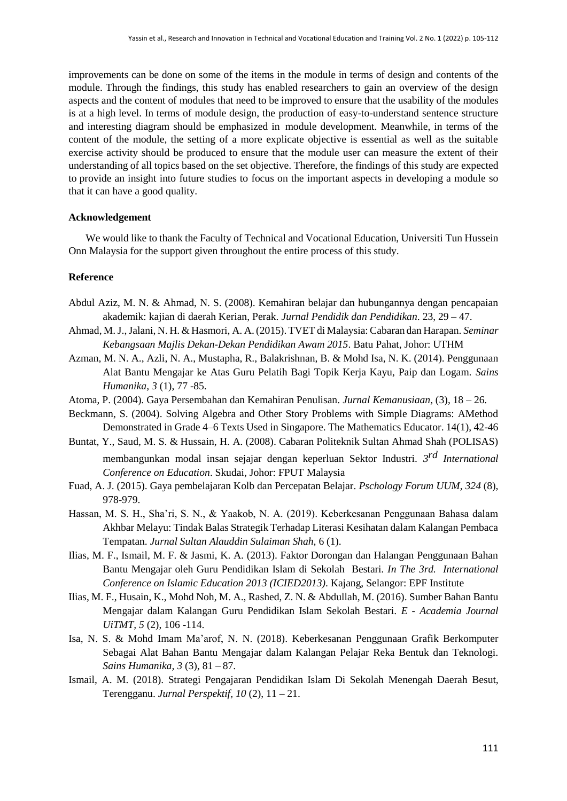improvements can be done on some of the items in the module in terms of design and contents of the module. Through the findings, this study has enabled researchers to gain an overview of the design aspects and the content of modules that need to be improved to ensure that the usability of the modules is at a high level. In terms of module design, the production of easy-to-understand sentence structure and interesting diagram should be emphasized in module development. Meanwhile, in terms of the content of the module, the setting of a more explicate objective is essential as well as the suitable exercise activity should be produced to ensure that the module user can measure the extent of their understanding of all topics based on the set objective. Therefore, the findings of this study are expected to provide an insight into future studies to focus on the important aspects in developing a module so that it can have a good quality.

#### **Acknowledgement**

We would like to thank the Faculty of Technical and Vocational Education, Universiti Tun Hussein Onn Malaysia for the support given throughout the entire process of this study.

#### **Reference**

- Abdul Aziz, M. N. & Ahmad, N. S. (2008). Kemahiran belajar dan hubungannya dengan pencapaian akademik: kajian di daerah Kerian, Perak. *Jurnal Pendidik dan Pendidikan*. 23, 29 – 47.
- Ahmad, M.J.,Jalani, N. H. & Hasmori, A. A.(2015). TVET di Malaysia: Cabaran dan Harapan. *Seminar Kebangsaan Majlis Dekan-Dekan Pendidikan Awam 2015*. Batu Pahat, Johor: UTHM
- Azman, M. N. A., Azli, N. A., Mustapha, R., Balakrishnan, B. & Mohd Isa, N. K. (2014). Penggunaan Alat Bantu Mengajar ke Atas Guru Pelatih Bagi Topik Kerja Kayu, Paip dan Logam. *Sains Humanika, 3* (1), 77 -85.
- Atoma, P. (2004). Gaya Persembahan dan Kemahiran Penulisan. *Jurnal Kemanusiaan,* (3), 18 26.
- Beckmann, S. (2004). Solving Algebra and Other Story Problems with Simple Diagrams: AMethod Demonstrated in Grade 4–6 Texts Used in Singapore. The Mathematics Educator. 14(1), 42-46
- Buntat, Y., Saud, M. S. & Hussain, H. A. (2008). Cabaran Politeknik Sultan Ahmad Shah (POLISAS) membangunkan modal insan sejajar dengan keperluan Sektor Industri. *3 rd International Conference on Education*. Skudai, Johor: FPUT Malaysia
- Fuad, A. J. (2015). Gaya pembelajaran Kolb dan Percepatan Belajar. *Pschology Forum UUM*, *324* (8), 978-979.
- Hassan, M. S. H., Sha'ri, S. N., & Yaakob, N. A. (2019). Keberkesanan Penggunaan Bahasa dalam Akhbar Melayu: Tindak Balas Strategik Terhadap Literasi Kesihatan dalam Kalangan Pembaca Tempatan. *Jurnal Sultan Alauddin Sulaiman Shah,* 6 (1).
- Ilias, M. F., Ismail, M. F. & Jasmi, K. A. (2013). Faktor Dorongan dan Halangan Penggunaan Bahan Bantu Mengajar oleh Guru Pendidikan Islam di Sekolah Bestari*. In The 3rd. International Conference on Islamic Education 2013 (ICIED2013)*. Kajang, Selangor: EPF Institute
- Ilias, M. F., Husain, K., Mohd Noh, M. A., Rashed, Z. N. & Abdullah, M. (2016). Sumber Bahan Bantu Mengajar dalam Kalangan Guru Pendidikan Islam Sekolah Bestari. *E - Academia Journal UiTMT, 5* (2), 106 -114.
- Isa, N. S. & Mohd Imam Ma'arof, N. N. (2018). Keberkesanan Penggunaan Grafik Berkomputer Sebagai Alat Bahan Bantu Mengajar dalam Kalangan Pelajar Reka Bentuk dan Teknologi. *Sains Humanika, 3* (3), 81 – 87.
- Ismail, A. M. (2018). Strategi Pengajaran Pendidikan Islam Di Sekolah Menengah Daerah Besut, Terengganu. *Jurnal Perspektif, 10* (2), 11 – 21.